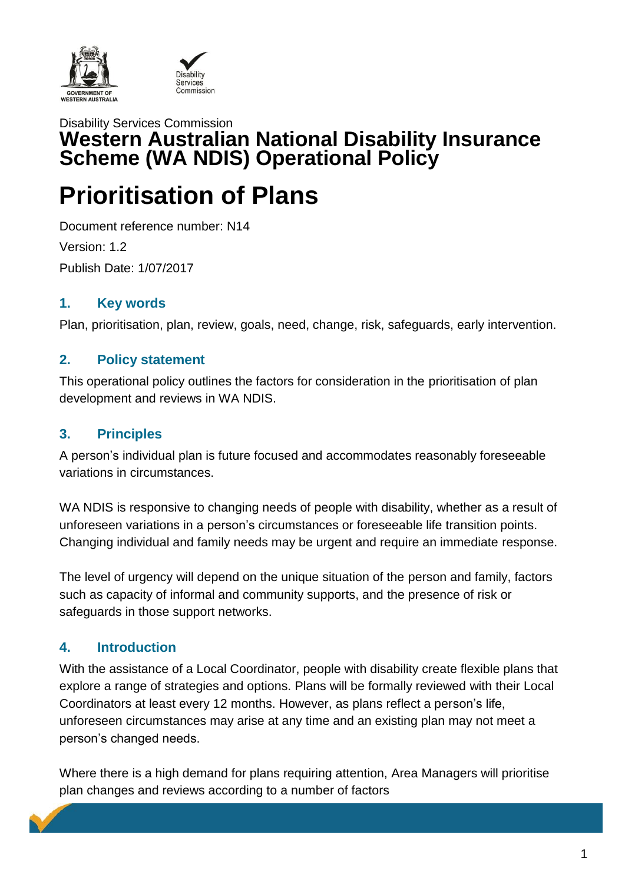



# Disability Services Commission **Western Australian National Disability Insurance Scheme (WA NDIS) Operational Policy**

# **Prioritisation of Plans**

Document reference number: N14 Version: 1.2 Publish Date: 1/07/2017

## **1. Key words**

Plan, prioritisation, plan, review, goals, need, change, risk, safeguards, early intervention.

## **2. Policy statement**

This operational policy outlines the factors for consideration in the prioritisation of plan development and reviews in WA NDIS.

### **3. Principles**

A person's individual plan is future focused and accommodates reasonably foreseeable variations in circumstances.

WA NDIS is responsive to changing needs of people with disability, whether as a result of unforeseen variations in a person's circumstances or foreseeable life transition points. Changing individual and family needs may be urgent and require an immediate response.

The level of urgency will depend on the unique situation of the person and family, factors such as capacity of informal and community supports, and the presence of risk or safeguards in those support networks.

## **4. Introduction**

With the assistance of a Local Coordinator, people with disability create flexible plans that explore a range of strategies and options. Plans will be formally reviewed with their Local Coordinators at least every 12 months. However, as plans reflect a person's life, unforeseen circumstances may arise at any time and an existing plan may not meet a person's changed needs.

Where there is a high demand for plans requiring attention, Area Managers will prioritise plan changes and reviews according to a number of factors

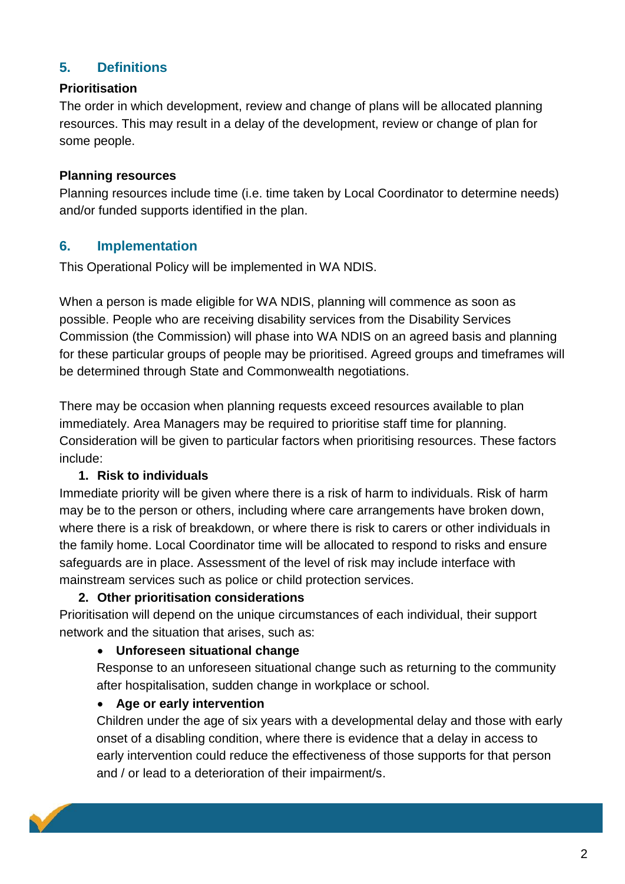## **5. Definitions**

#### **Prioritisation**

The order in which development, review and change of plans will be allocated planning resources. This may result in a delay of the development, review or change of plan for some people.

#### **Planning resources**

Planning resources include time (i.e. time taken by Local Coordinator to determine needs) and/or funded supports identified in the plan.

#### **6. Implementation**

This Operational Policy will be implemented in WA NDIS.

When a person is made eligible for WA NDIS, planning will commence as soon as possible. People who are receiving disability services from the Disability Services Commission (the Commission) will phase into WA NDIS on an agreed basis and planning for these particular groups of people may be prioritised. Agreed groups and timeframes will be determined through State and Commonwealth negotiations.

There may be occasion when planning requests exceed resources available to plan immediately. Area Managers may be required to prioritise staff time for planning. Consideration will be given to particular factors when prioritising resources. These factors include:

#### **1. Risk to individuals**

Immediate priority will be given where there is a risk of harm to individuals. Risk of harm may be to the person or others, including where care arrangements have broken down, where there is a risk of breakdown, or where there is risk to carers or other individuals in the family home. Local Coordinator time will be allocated to respond to risks and ensure safeguards are in place. Assessment of the level of risk may include interface with mainstream services such as police or child protection services.

#### **2. Other prioritisation considerations**

Prioritisation will depend on the unique circumstances of each individual, their support network and the situation that arises, such as:

#### **Unforeseen situational change**

Response to an unforeseen situational change such as returning to the community after hospitalisation, sudden change in workplace or school.

#### **Age or early intervention**

Children under the age of six years with a developmental delay and those with early onset of a disabling condition, where there is evidence that a delay in access to early intervention could reduce the effectiveness of those supports for that person and / or lead to a deterioration of their impairment/s.